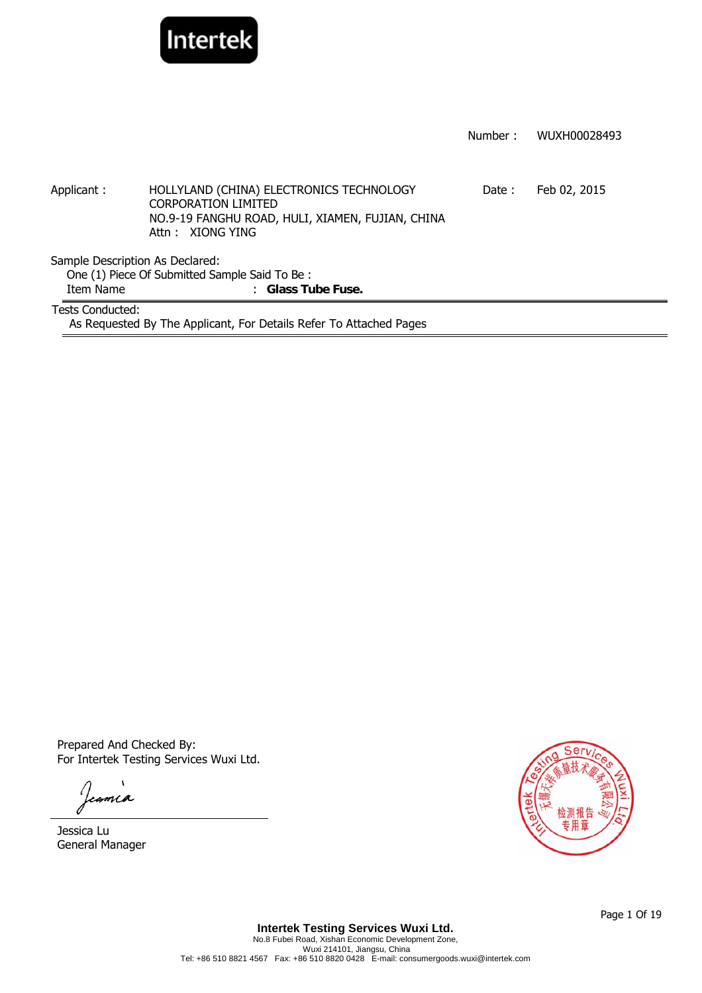

|                                 |                                                                                                                                                | Number: | WUXH00028493 |  |  |
|---------------------------------|------------------------------------------------------------------------------------------------------------------------------------------------|---------|--------------|--|--|
|                                 |                                                                                                                                                |         |              |  |  |
|                                 |                                                                                                                                                |         |              |  |  |
| Applicant:                      | HOLLYLAND (CHINA) ELECTRONICS TECHNOLOGY<br><b>CORPORATION LIMITED</b><br>NO.9-19 FANGHU ROAD, HULI, XIAMEN, FUJIAN, CHINA<br>Attn: XIONG YING | Date:   | Feb 02, 2015 |  |  |
| Sample Description As Declared: |                                                                                                                                                |         |              |  |  |
|                                 | One (1) Piece Of Submitted Sample Said To Be:                                                                                                  |         |              |  |  |
| Item Name                       | : Glass Tube Fuse.                                                                                                                             |         |              |  |  |
| <b>Tests Conducted:</b>         |                                                                                                                                                |         |              |  |  |
|                                 | As Requested By The Applicant, For Details Refer To Attached Pages                                                                             |         |              |  |  |

Prepared And Checked By: For Intertek Testing Services Wuxi Ltd.

Jeania

Jessica Lu General Manager



Page 1 Of 19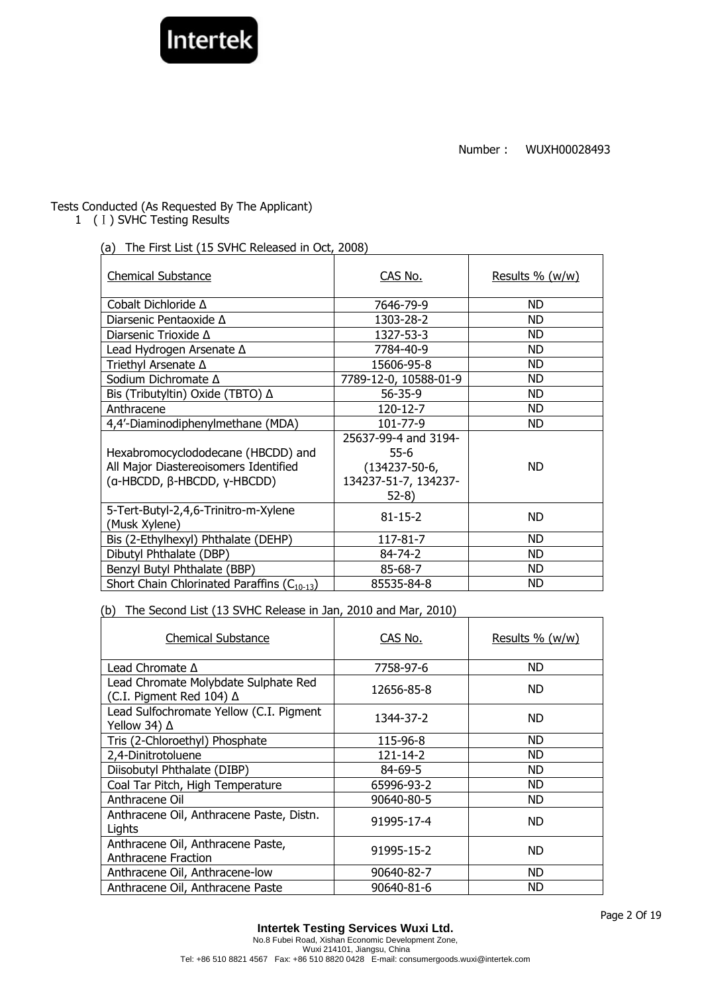

# Tests Conducted (As Requested By The Applicant)

1 (I) SVHC Testing Results

(a) The First List (15 SVHC Released in Oct, 2008)

| <b>Chemical Substance</b>                                                                                  | CAS No.                                                                                 | Results $% (w/w)$ |
|------------------------------------------------------------------------------------------------------------|-----------------------------------------------------------------------------------------|-------------------|
| Cobalt Dichloride A                                                                                        | 7646-79-9                                                                               | ND.               |
| Diarsenic Pentaoxide $\Delta$                                                                              | 1303-28-2                                                                               | ND.               |
| Diarsenic Trioxide $\Delta$                                                                                | 1327-53-3                                                                               | ND                |
| Lead Hydrogen Arsenate A                                                                                   | 7784-40-9                                                                               | ND.               |
| Triethyl Arsenate A                                                                                        | 15606-95-8                                                                              | ND.               |
| Sodium Dichromate Δ                                                                                        | 7789-12-0, 10588-01-9                                                                   | ND                |
| Bis (Tributyltin) Oxide (TBTO) ∆                                                                           | $56 - 35 - 9$                                                                           | ND.               |
| Anthracene                                                                                                 | 120-12-7                                                                                | ND.               |
| 4,4'-Diaminodiphenylmethane (MDA)                                                                          | 101-77-9                                                                                | ND.               |
| Hexabromocyclododecane (HBCDD) and<br>All Major Diastereoisomers Identified<br>(a-HBCDD, β-HBCDD, γ-HBCDD) | 25637-99-4 and 3194-<br>$55-6$<br>$(134237 - 50 - 6,$<br>134237-51-7, 134237-<br>$52-8$ | <b>ND</b>         |
| 5-Tert-Butyl-2,4,6-Trinitro-m-Xylene<br>(Musk Xylene)                                                      | $81 - 15 - 2$                                                                           | ND.               |
| Bis (2-Ethylhexyl) Phthalate (DEHP)                                                                        | 117-81-7                                                                                | ND.               |
| Dibutyl Phthalate (DBP)                                                                                    | 84-74-2                                                                                 | ND                |
| Benzyl Butyl Phthalate (BBP)                                                                               | 85-68-7                                                                                 | ND                |
| Short Chain Chlorinated Paraffins (C <sub>10-13</sub> )                                                    | 85535-84-8                                                                              | ND                |

(b) The Second List (13 SVHC Release in Jan, 2010 and Mar, 2010)

| <b>Chemical Substance</b>                                        | CAS No.    | Results % (w/w) |
|------------------------------------------------------------------|------------|-----------------|
| Lead Chromate $\Delta$                                           | 7758-97-6  | ND              |
| Lead Chromate Molybdate Sulphate Red<br>(C.I. Pigment Red 104) ∆ | 12656-85-8 | ND.             |
| Lead Sulfochromate Yellow (C.I. Pigment<br>Yellow 34) ∆          | 1344-37-2  | ND.             |
| Tris (2-Chloroethyl) Phosphate                                   | 115-96-8   | <b>ND</b>       |
| 2,4-Dinitrotoluene                                               | 121-14-2   | ND              |
| Diisobutyl Phthalate (DIBP)                                      | 84-69-5    | <b>ND</b>       |
| Coal Tar Pitch, High Temperature                                 | 65996-93-2 | <b>ND</b>       |
| Anthracene Oil                                                   | 90640-80-5 | <b>ND</b>       |
| Anthracene Oil, Anthracene Paste, Distn.<br>Lights               | 91995-17-4 | ND.             |
| Anthracene Oil, Anthracene Paste,<br>Anthracene Fraction         | 91995-15-2 | ND.             |
| Anthracene Oil, Anthracene-low                                   | 90640-82-7 | ND.             |
| Anthracene Oil, Anthracene Paste                                 | 90640-81-6 | ND              |

Page 2 Of 19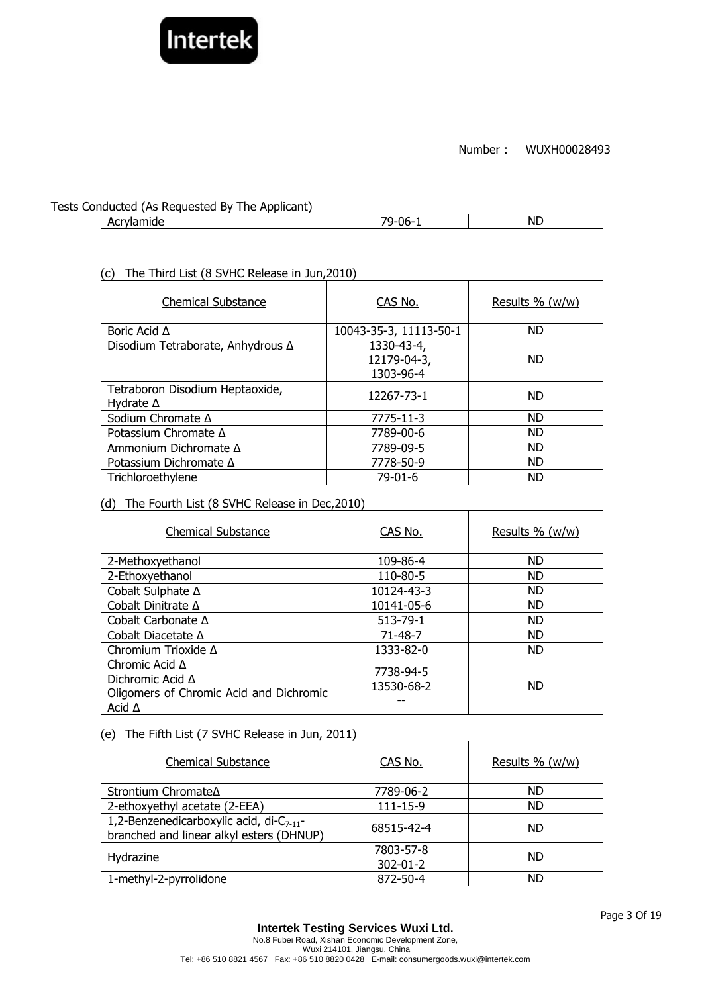

### Tests Conducted (As Requested By The Applicant)

Acrylamide ND

# (c) The Third List (8 SVHC Release in Jun,2010)

| <b>Chemical Substance</b>                           | CAS No.                                | Results % (w/w) |
|-----------------------------------------------------|----------------------------------------|-----------------|
| Boric Acid $\Delta$                                 | 10043-35-3, 11113-50-1                 | <b>ND</b>       |
| Disodium Tetraborate, Anhydrous ∆                   | 1330-43-4,<br>12179-04-3,<br>1303-96-4 | <b>ND</b>       |
| Tetraboron Disodium Heptaoxide,<br>Hydrate $\Delta$ | 12267-73-1                             | <b>ND</b>       |
| Sodium Chromate Δ                                   | 7775-11-3                              | <b>ND</b>       |
| Potassium Chromate $\Delta$                         | 7789-00-6                              | <b>ND</b>       |
| Ammonium Dichromate $\Delta$                        | 7789-09-5                              | <b>ND</b>       |
| Potassium Dichromate ∆                              | 7778-50-9                              | <b>ND</b>       |
| Trichloroethylene                                   | $79-01-6$                              | <b>ND</b>       |

### (d) The Fourth List (8 SVHC Release in Dec,2010)

| <b>Chemical Substance</b>                                                                                    | CAS No.                 | Results % (w/w) |
|--------------------------------------------------------------------------------------------------------------|-------------------------|-----------------|
| 2-Methoxyethanol                                                                                             | 109-86-4                | <b>ND</b>       |
| 2-Ethoxyethanol                                                                                              | 110-80-5                | <b>ND</b>       |
| Cobalt Sulphate ∆                                                                                            | 10124-43-3              | <b>ND</b>       |
| Cobalt Dinitrate $\Delta$                                                                                    | 10141-05-6              | <b>ND</b>       |
| Cobalt Carbonate $\Delta$                                                                                    | $513 - 79 - 1$          | <b>ND</b>       |
| Cobalt Diacetate $\Delta$                                                                                    | $71 - 48 - 7$           | <b>ND</b>       |
| Chromium Trioxide Δ                                                                                          | 1333-82-0               | <b>ND</b>       |
| Chromic Acid $\Delta$<br>Dichromic Acid $\Delta$<br>Oligomers of Chromic Acid and Dichromic<br>Acid $\Delta$ | 7738-94-5<br>13530-68-2 | <b>ND</b>       |

### (e) The Fifth List (7 SVHC Release in Jun, 2011)

| <b>Chemical Substance</b>                                                                  | CAS No.                     | Results % (w/w) |
|--------------------------------------------------------------------------------------------|-----------------------------|-----------------|
| Strontium Chromate∆                                                                        | 7789-06-2                   | <b>ND</b>       |
| 2-ethoxyethyl acetate (2-EEA)                                                              | $111 - 15 - 9$              | <b>ND</b>       |
| 1,2-Benzenedicarboxylic acid, di- $C_{7-11}$ -<br>branched and linear alkyl esters (DHNUP) | 68515-42-4                  | ND.             |
| Hydrazine                                                                                  | 7803-57-8<br>$302 - 01 - 2$ | <b>ND</b>       |
| 1-methyl-2-pyrrolidone                                                                     | 872-50-4                    | ND              |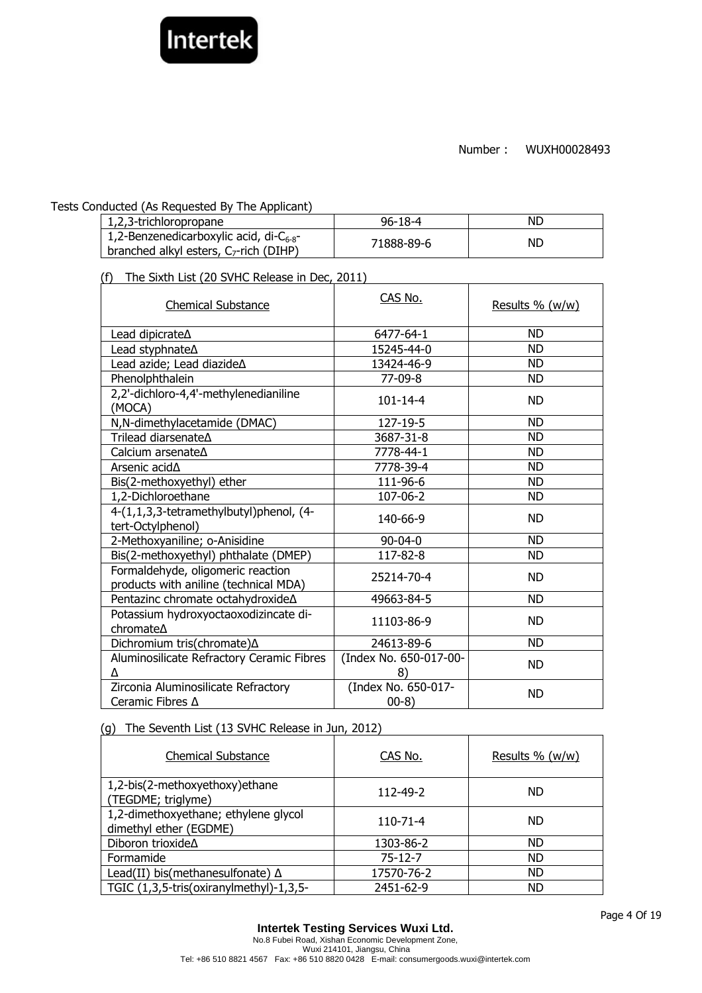

### Tests Conducted (As Requested By The Applicant)

| 1,2,3-trichloropropane                                                                     | $96 - 18 - 4$ | <b>NL</b> |
|--------------------------------------------------------------------------------------------|---------------|-----------|
| 1,2-Benzenedicarboxylic acid, di- $C_{6-8}$ -<br>branched alkyl esters, $C_7$ -rich (DIHP) | 71888-89-6    | NL.       |

(f) The Sixth List (20 SVHC Release in Dec, 2011)

| <b>Chemical Substance</b>                                                  | CAS No.                       | Results % (w/w) |
|----------------------------------------------------------------------------|-------------------------------|-----------------|
| Lead dipicrate <sup><math>\Delta</math></sup>                              | 6477-64-1                     | <b>ND</b>       |
|                                                                            | 15245-44-0                    | <b>ND</b>       |
| Lead azide; Lead diazideA                                                  | 13424-46-9                    | <b>ND</b>       |
| Phenolphthalein                                                            | 77-09-8                       | <b>ND</b>       |
| 2,2'-dichloro-4,4'-methylenedianiline<br>(MOCA)                            | $101 - 14 - 4$                | <b>ND</b>       |
| N,N-dimethylacetamide (DMAC)                                               | 127-19-5                      | <b>ND</b>       |
| Trilead diarsenate∆                                                        | 3687-31-8                     | <b>ND</b>       |
| Calcium arsenateA                                                          | 7778-44-1                     | <b>ND</b>       |
| Arsenic acid $\Delta$                                                      | 7778-39-4                     | ND              |
| Bis(2-methoxyethyl) ether                                                  | 111-96-6                      | <b>ND</b>       |
| 1,2-Dichloroethane                                                         | 107-06-2                      | <b>ND</b>       |
| 4-(1,1,3,3-tetramethylbutyl)phenol, (4-<br>tert-Octylphenol)               | 140-66-9                      | <b>ND</b>       |
| 2-Methoxyaniline; o-Anisidine                                              | $90 - 04 - 0$                 | <b>ND</b>       |
| Bis(2-methoxyethyl) phthalate (DMEP)                                       | 117-82-8                      | <b>ND</b>       |
| Formaldehyde, oligomeric reaction<br>products with aniline (technical MDA) | 25214-70-4                    | <b>ND</b>       |
| Pentazinc chromate octahydroxide∆                                          | 49663-84-5                    | <b>ND</b>       |
| Potassium hydroxyoctaoxodizincate di-<br>chromate∆                         | 11103-86-9                    | <b>ND</b>       |
| Dichromium tris(chromate) A                                                | 24613-89-6                    | <b>ND</b>       |
| Aluminosilicate Refractory Ceramic Fibres<br>۸                             | (Index No. 650-017-00-<br>8)  | <b>ND</b>       |
| Zirconia Aluminosilicate Refractory<br>Ceramic Fibres $\Delta$             | (Index No. 650-017-<br>$00-8$ | <b>ND</b>       |

# (g) The Seventh List (13 SVHC Release in Jun, 2012)

| <b>Chemical Substance</b>                                      | CAS No.       | Results % (w/w) |
|----------------------------------------------------------------|---------------|-----------------|
| 1,2-bis(2-methoxyethoxy) ethane<br>(TEGDME; triglyme)          | 112-49-2      | <b>ND</b>       |
| 1,2-dimethoxyethane; ethylene glycol<br>dimethyl ether (EGDME) | 110-71-4      | <b>ND</b>       |
| Diboron trioxide∆                                              | 1303-86-2     | <b>ND</b>       |
| Formamide                                                      | $75 - 12 - 7$ | <b>ND</b>       |
| Lead(II) bis(methanesulfonate) $\Delta$                        | 17570-76-2    | <b>ND</b>       |
| TGIC (1,3,5-tris(oxiranylmethyl)-1,3,5-                        | 2451-62-9     | <b>ND</b>       |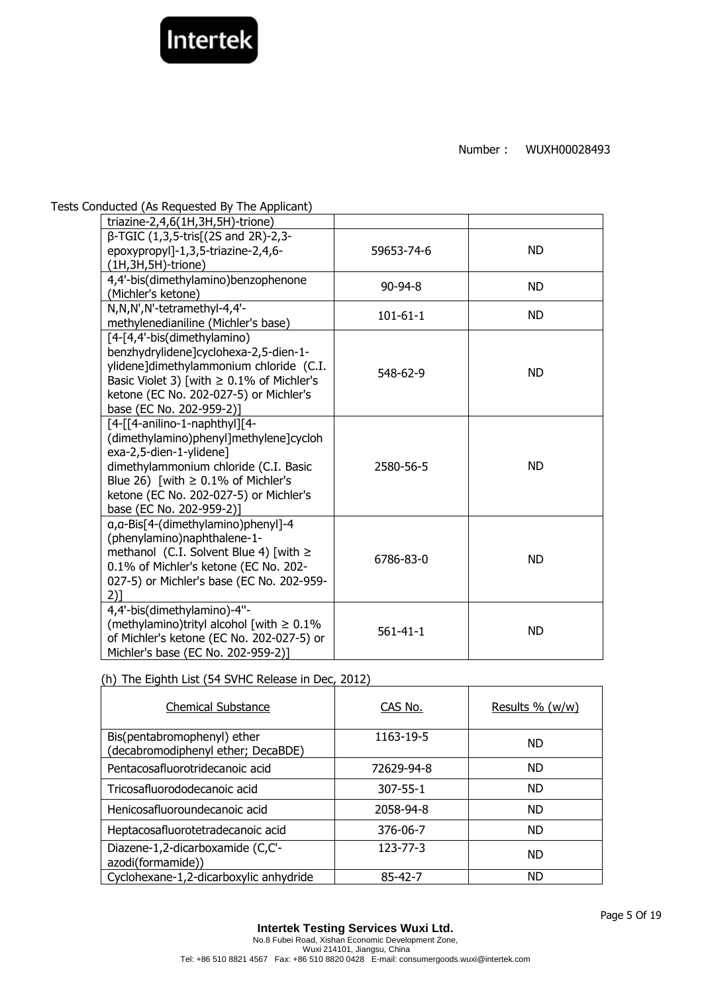

Tests Conducted (As Requested By The Applicant)

| triazine-2,4,6(1H,3H,5H)-trione)                                                                                                                                                                                                                             |                |           |
|--------------------------------------------------------------------------------------------------------------------------------------------------------------------------------------------------------------------------------------------------------------|----------------|-----------|
| β-TGIC (1,3,5-tris[(2S and 2R)-2,3-<br>epoxypropyl]-1,3,5-triazine-2,4,6-<br>$(1H, 3H, 5H)$ -trione)                                                                                                                                                         | 59653-74-6     | <b>ND</b> |
| 4,4'-bis(dimethylamino)benzophenone<br>(Michler's ketone)                                                                                                                                                                                                    | $90 - 94 - 8$  | <b>ND</b> |
| N,N,N',N'-tetramethyl-4,4'-<br>methylenedianiline (Michler's base)                                                                                                                                                                                           | $101 - 61 - 1$ | <b>ND</b> |
| [4-[4,4'-bis(dimethylamino)<br>benzhydrylidene]cyclohexa-2,5-dien-1-<br>ylidene]dimethylammonium chloride (C.I.<br>Basic Violet 3) [with $\geq 0.1\%$ of Michler's<br>ketone (EC No. 202-027-5) or Michler's<br>base (EC No. 202-959-2)]                     | 548-62-9       | <b>ND</b> |
| [4-[[4-anilino-1-naphthyl][4-<br>(dimethylamino)phenyl]methylene]cycloh<br>exa-2,5-dien-1-ylidene]<br>dimethylammonium chloride (C.I. Basic<br>Blue 26) [with $\geq$ 0.1% of Michler's<br>ketone (EC No. 202-027-5) or Michler's<br>base (EC No. 202-959-2)] | 2580-56-5      | <b>ND</b> |
| a, a-Bis[4-(dimethylamino)phenyl]-4<br>(phenylamino)naphthalene-1-<br>methanol (C.I. Solvent Blue 4) [with $\ge$<br>0.1% of Michler's ketone (EC No. 202-<br>027-5) or Michler's base (EC No. 202-959-<br>$2)$ ]                                             | 6786-83-0      | <b>ND</b> |
| 4,4'-bis(dimethylamino)-4"-<br>(methylamino)trityl alcohol [with $\geq 0.1\%$<br>of Michler's ketone (EC No. 202-027-5) or<br>Michler's base (EC No. 202-959-2)]                                                                                             | $561 - 41 - 1$ | <b>ND</b> |

### (h) The Eighth List (54 SVHC Release in Dec, 2012)

| <b>Chemical Substance</b>                                         | CAS No.        | Results $\%$ (w/w) |
|-------------------------------------------------------------------|----------------|--------------------|
| Bis(pentabromophenyl) ether<br>(decabromodiphenyl ether; DecaBDE) | 1163-19-5      | <b>ND</b>          |
| Pentacosafluorotridecanoic acid                                   | 72629-94-8     | <b>ND</b>          |
| Tricosafluorododecanoic acid                                      | $307 - 55 - 1$ | <b>ND</b>          |
| Henicosafluoroundecanoic acid                                     | 2058-94-8      | <b>ND</b>          |
| Heptacosafluorotetradecanoic acid                                 | 376-06-7       | <b>ND</b>          |
| Diazene-1,2-dicarboxamide (C,C'-<br>azodi(formamide))             | $123 - 77 - 3$ | <b>ND</b>          |
| Cyclohexane-1,2-dicarboxylic anhydride                            | 85-42-7        | <b>ND</b>          |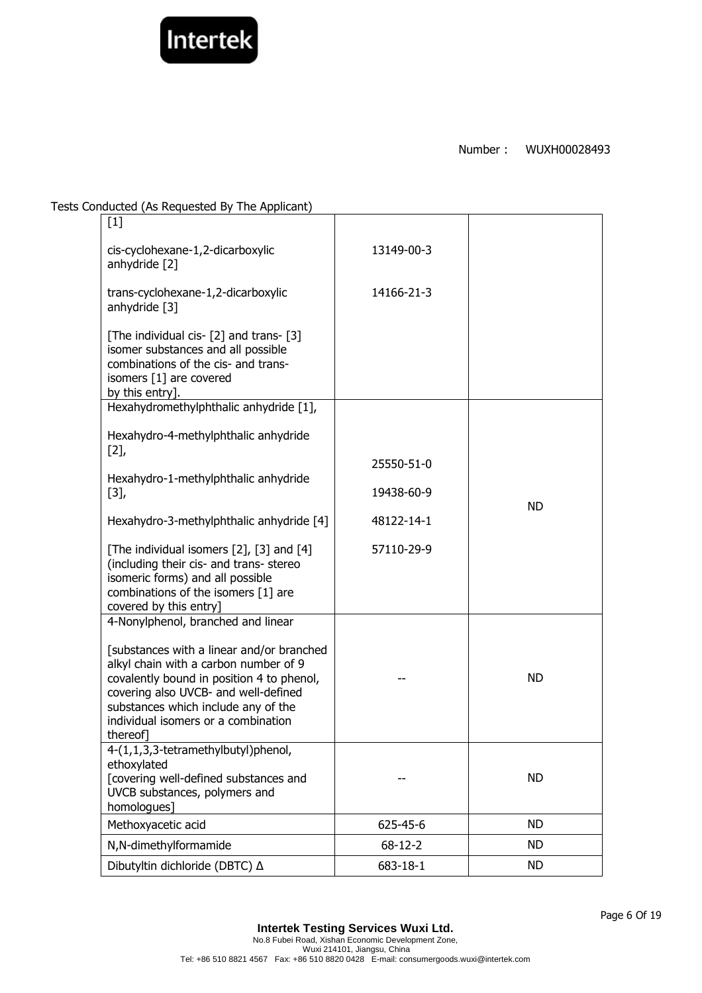

Tests Conducted (As Requested By The Applicant)

| $[1]$                                                                                                                                                                                                                                                            |               |           |
|------------------------------------------------------------------------------------------------------------------------------------------------------------------------------------------------------------------------------------------------------------------|---------------|-----------|
| cis-cyclohexane-1,2-dicarboxylic<br>anhydride [2]                                                                                                                                                                                                                | 13149-00-3    |           |
| trans-cyclohexane-1,2-dicarboxylic<br>anhydride [3]                                                                                                                                                                                                              | 14166-21-3    |           |
| [The individual cis- [2] and trans- [3]<br>isomer substances and all possible<br>combinations of the cis- and trans-<br>isomers [1] are covered<br>by this entry].                                                                                               |               |           |
| Hexahydromethylphthalic anhydride [1],                                                                                                                                                                                                                           |               |           |
| Hexahydro-4-methylphthalic anhydride                                                                                                                                                                                                                             |               |           |
| [2]                                                                                                                                                                                                                                                              | 25550-51-0    |           |
| Hexahydro-1-methylphthalic anhydride                                                                                                                                                                                                                             |               |           |
| $[3],$                                                                                                                                                                                                                                                           | 19438-60-9    | <b>ND</b> |
| Hexahydro-3-methylphthalic anhydride [4]                                                                                                                                                                                                                         | 48122-14-1    |           |
| [The individual isomers [2], [3] and [4]<br>(including their cis- and trans- stereo<br>isomeric forms) and all possible<br>combinations of the isomers [1] are<br>covered by this entry]                                                                         | 57110-29-9    |           |
| 4-Nonylphenol, branched and linear                                                                                                                                                                                                                               |               |           |
| [substances with a linear and/or branched<br>alkyl chain with a carbon number of 9<br>covalently bound in position 4 to phenol,<br>covering also UVCB- and well-defined<br>substances which include any of the<br>individual isomers or a combination<br>thereof |               | <b>ND</b> |
| 4-(1,1,3,3-tetramethylbutyl)phenol,<br>ethoxylated<br>[covering well-defined substances and<br>UVCB substances, polymers and<br>homologues]                                                                                                                      |               | <b>ND</b> |
| Methoxyacetic acid                                                                                                                                                                                                                                               | 625-45-6      | <b>ND</b> |
| N,N-dimethylformamide                                                                                                                                                                                                                                            | $68 - 12 - 2$ | <b>ND</b> |
| Dibutyltin dichloride (DBTC) △                                                                                                                                                                                                                                   | 683-18-1      | ND.       |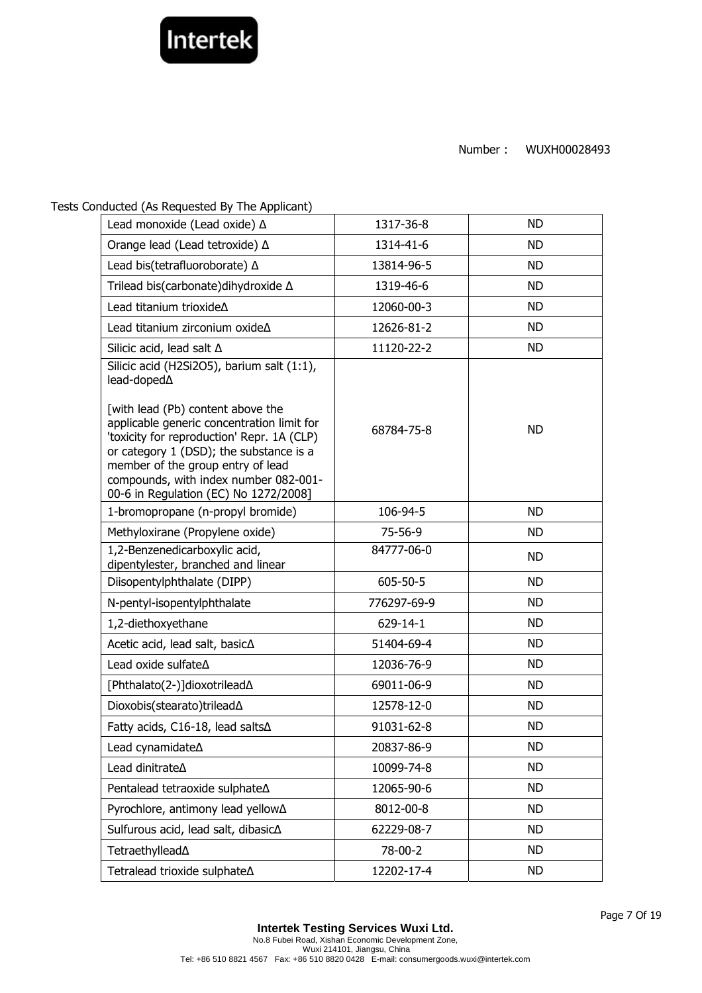

Tests Conducted (As Requested By The Applicant)

| Lead monoxide (Lead oxide) $\Delta$                                                                                                                                                                          | 1317-36-8     | <b>ND</b> |
|--------------------------------------------------------------------------------------------------------------------------------------------------------------------------------------------------------------|---------------|-----------|
| Orange lead (Lead tetroxide) ∆                                                                                                                                                                               | 1314-41-6     | <b>ND</b> |
| Lead bis(tetrafluoroborate) A                                                                                                                                                                                | 13814-96-5    | <b>ND</b> |
| Trilead bis(carbonate) dihy droxide A                                                                                                                                                                        | 1319-46-6     | <b>ND</b> |
| Lead titanium trioxideA                                                                                                                                                                                      | 12060-00-3    | <b>ND</b> |
| Lead titanium zirconium oxideA                                                                                                                                                                               | 12626-81-2    | <b>ND</b> |
| Silicic acid, lead salt ∆                                                                                                                                                                                    | 11120-22-2    | <b>ND</b> |
| Silicic acid (H2Si2O5), barium salt (1:1),<br>lead-doped $\Delta$<br>[with lead (Pb) content above the<br>applicable generic concentration limit for                                                         |               |           |
| 'toxicity for reproduction' Repr. 1A (CLP)<br>or category 1 (DSD); the substance is a<br>member of the group entry of lead<br>compounds, with index number 082-001-<br>00-6 in Regulation (EC) No 1272/2008] | 68784-75-8    | <b>ND</b> |
| 1-bromopropane (n-propyl bromide)                                                                                                                                                                            | 106-94-5      | <b>ND</b> |
| Methyloxirane (Propylene oxide)                                                                                                                                                                              | $75 - 56 - 9$ | <b>ND</b> |
| 1,2-Benzenedicarboxylic acid,<br>dipentylester, branched and linear                                                                                                                                          | 84777-06-0    | <b>ND</b> |
| Diisopentylphthalate (DIPP)                                                                                                                                                                                  | 605-50-5      | <b>ND</b> |
| N-pentyl-isopentylphthalate                                                                                                                                                                                  | 776297-69-9   | <b>ND</b> |
| 1,2-diethoxyethane                                                                                                                                                                                           | 629-14-1      | <b>ND</b> |
| Acetic acid, lead salt, basic∆                                                                                                                                                                               | 51404-69-4    | <b>ND</b> |
| Lead oxide sulfate A                                                                                                                                                                                         | 12036-76-9    | <b>ND</b> |
| [Phthalato(2-)]dioxotrilead∆                                                                                                                                                                                 | 69011-06-9    | <b>ND</b> |
| Dioxobis(stearato)trilead∆                                                                                                                                                                                   | 12578-12-0    | <b>ND</b> |
| Fatty acids, C16-18, lead salts∆                                                                                                                                                                             | 91031-62-8    | <b>ND</b> |
| Lead cynamidate∆                                                                                                                                                                                             | 20837-86-9    | ND.       |
| Lead dinitrate <sup><math>\Delta</math></sup>                                                                                                                                                                | 10099-74-8    | <b>ND</b> |
| Pentalead tetraoxide sulphate∆                                                                                                                                                                               | 12065-90-6    | ND.       |
| Pyrochlore, antimony lead yellow∆                                                                                                                                                                            | 8012-00-8     | <b>ND</b> |
| Sulfurous acid, lead salt, dibasic∆                                                                                                                                                                          | 62229-08-7    | ND.       |
| Tetraethyllead∆                                                                                                                                                                                              | 78-00-2       | <b>ND</b> |
| Tetralead trioxide sulphateA                                                                                                                                                                                 | 12202-17-4    | <b>ND</b> |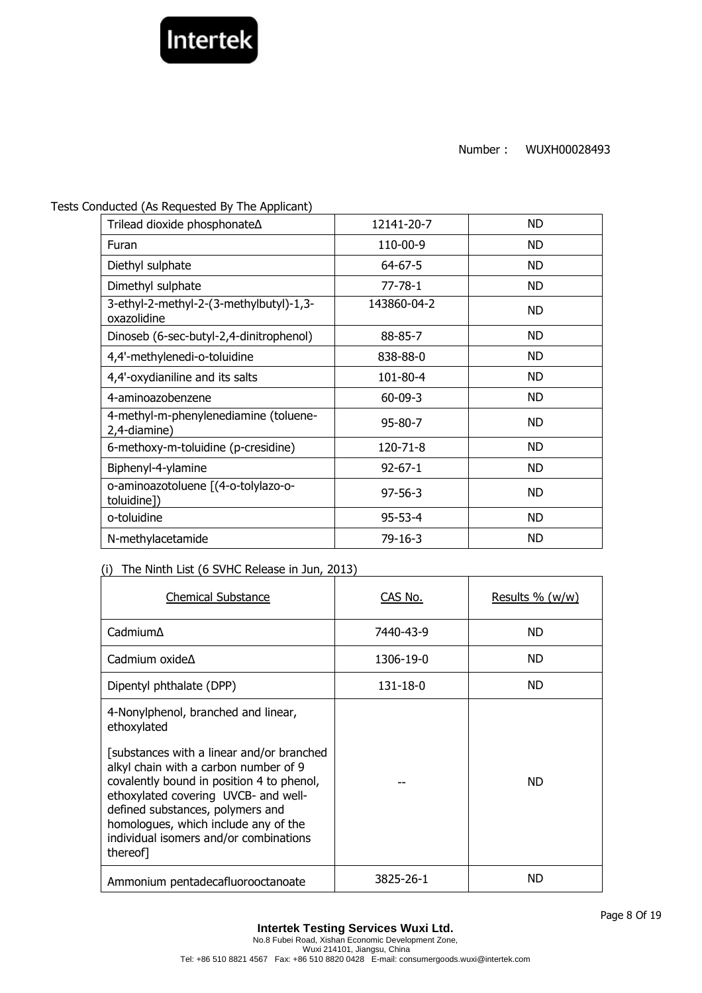

Tests Conducted (As Requested By The Applicant)

| Trilead dioxide phosphonate∆                           | 12141-20-7    | <b>ND</b> |
|--------------------------------------------------------|---------------|-----------|
| Furan                                                  | 110-00-9      | ND        |
| Diethyl sulphate                                       | $64 - 67 - 5$ | <b>ND</b> |
| Dimethyl sulphate                                      | $77 - 78 - 1$ | ND        |
| 3-ethyl-2-methyl-2-(3-methylbutyl)-1,3-<br>oxazolidine | 143860-04-2   | <b>ND</b> |
| Dinoseb (6-sec-butyl-2,4-dinitrophenol)                | 88-85-7       | ND        |
| 4,4'-methylenedi-o-toluidine                           | 838-88-0      | <b>ND</b> |
| 4,4'-oxydianiline and its salts                        | 101-80-4      | ND        |
| 4-aminoazobenzene                                      | $60 - 09 - 3$ | <b>ND</b> |
| 4-methyl-m-phenylenediamine (toluene-<br>2,4-diamine)  | $95 - 80 - 7$ | <b>ND</b> |
| 6-methoxy-m-toluidine (p-cresidine)                    | 120-71-8      | <b>ND</b> |
| Biphenyl-4-ylamine                                     | $92 - 67 - 1$ | <b>ND</b> |
| o-aminoazotoluene [(4-o-tolylazo-o-<br>toluidine])     | $97 - 56 - 3$ | <b>ND</b> |
| o-toluidine                                            | $95 - 53 - 4$ | <b>ND</b> |
| N-methylacetamide                                      | 79-16-3       | ND        |

### (i) The Ninth List (6 SVHC Release in Jun, 2013)

| <b>Chemical Substance</b>                                                                                                                                                                                                                                                                                                                                       | CAS No.   | Results % $(w/w)$ |
|-----------------------------------------------------------------------------------------------------------------------------------------------------------------------------------------------------------------------------------------------------------------------------------------------------------------------------------------------------------------|-----------|-------------------|
| $C$ admium $\Delta$                                                                                                                                                                                                                                                                                                                                             | 7440-43-9 | ND.               |
| Cadmium oxide $\Delta$                                                                                                                                                                                                                                                                                                                                          | 1306-19-0 | ND.               |
| Dipentyl phthalate (DPP)                                                                                                                                                                                                                                                                                                                                        | 131-18-0  | ND.               |
| 4-Nonylphenol, branched and linear,<br>ethoxylated<br>[substances with a linear and/or branched<br>alkyl chain with a carbon number of 9<br>covalently bound in position 4 to phenol,<br>ethoxylated covering UVCB- and well-<br>defined substances, polymers and<br>homologues, which include any of the<br>individual isomers and/or combinations<br>thereof] |           | ND.               |
| Ammonium pentadecafluorooctanoate                                                                                                                                                                                                                                                                                                                               | 3825-26-1 | ND                |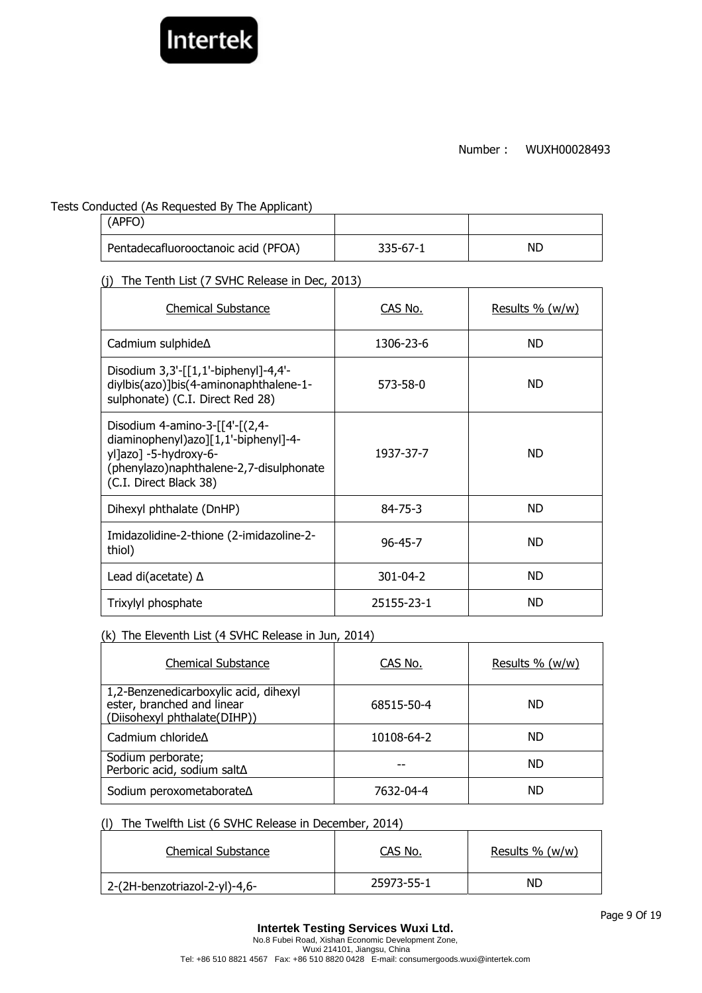

Tests Conducted (As Requested By The Applicant)

| (APFO)                              |          |    |
|-------------------------------------|----------|----|
| Pentadecafluorooctanoic acid (PFOA) | 335-67-1 | ΝD |

(j) The Tenth List (7 SVHC Release in Dec, 2013)

| <b>Chemical Substance</b>                                                                                                                                            | CAS No.        | Results % (w/w) |
|----------------------------------------------------------------------------------------------------------------------------------------------------------------------|----------------|-----------------|
| Cadmium sulphide∆                                                                                                                                                    | 1306-23-6      | ND.             |
| Disodium 3,3'-[[1,1'-biphenyl]-4,4'-<br>diylbis(azo)]bis(4-aminonaphthalene-1-<br>sulphonate) (C.I. Direct Red 28)                                                   | 573-58-0       | ND.             |
| Disodium 4-amino-3- $[4-(2,4-$<br>diaminophenyl)azo][1,1'-biphenyl]-4-<br>yl]azo] -5-hydroxy-6-<br>(phenylazo)naphthalene-2,7-disulphonate<br>(C.I. Direct Black 38) | 1937-37-7      | ND.             |
| Dihexyl phthalate (DnHP)                                                                                                                                             | $84 - 75 - 3$  | ND.             |
| Imidazolidine-2-thione (2-imidazoline-2-<br>thiol)                                                                                                                   | $96 - 45 - 7$  | ND.             |
| Lead di(acetate) $\Delta$                                                                                                                                            | $301 - 04 - 2$ | ND.             |
| Trixylyl phosphate                                                                                                                                                   | 25155-23-1     | <b>ND</b>       |

## (k) The Eleventh List (4 SVHC Release in Jun, 2014)

| <b>Chemical Substance</b>                                                                           | CAS No.    | Results % (w/w) |
|-----------------------------------------------------------------------------------------------------|------------|-----------------|
| 1,2-Benzenedicarboxylic acid, dihexyl<br>ester, branched and linear<br>(Diisohexyl phthalate(DIHP)) | 68515-50-4 | ND.             |
| Cadmium chloride $\Delta$                                                                           | 10108-64-2 | ND              |
| Sodium perborate;<br>Perboric acid, sodium salt∆                                                    |            | ND.             |
| Sodium peroxometaborate∆                                                                            | 7632-04-4  | ND              |

### (l) The Twelfth List (6 SVHC Release in December, 2014)

| Chemical Substance            | CAS No.    | Results $% (w/w)$ |
|-------------------------------|------------|-------------------|
| 2-(2H-benzotriazol-2-yl)-4,6- | 25973-55-1 | ND                |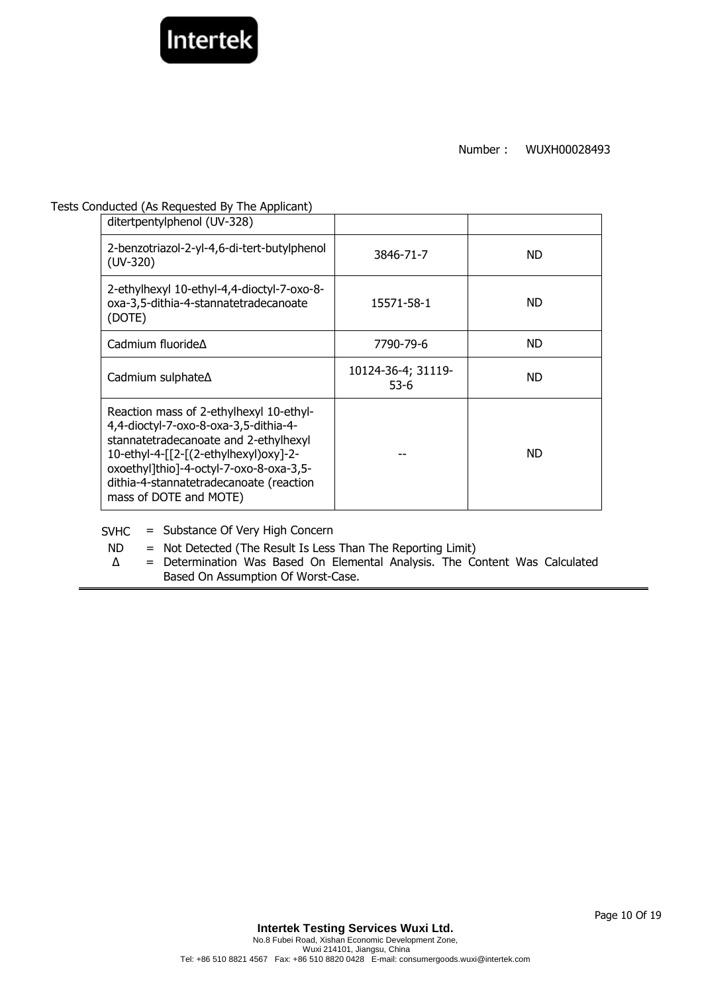

#### Tests Conducted (As Requested By The Applicant)

| ditertpentylphenol (UV-328)                                                                                                                                                                                                                                                        |                            |           |
|------------------------------------------------------------------------------------------------------------------------------------------------------------------------------------------------------------------------------------------------------------------------------------|----------------------------|-----------|
| 2-benzotriazol-2-yl-4,6-di-tert-butylphenol<br>$(UV-320)$                                                                                                                                                                                                                          | 3846-71-7                  | <b>ND</b> |
| 2-ethylhexyl 10-ethyl-4,4-dioctyl-7-oxo-8-<br>oxa-3,5-dithia-4-stannatetradecanoate<br>(DOTE)                                                                                                                                                                                      | 15571-58-1                 | <b>ND</b> |
| Cadmium fluoride $\Delta$                                                                                                                                                                                                                                                          | 7790-79-6                  | ND.       |
| Cadmium sulphate∆                                                                                                                                                                                                                                                                  | 10124-36-4; 31119-<br>53-6 | <b>ND</b> |
| Reaction mass of 2-ethylhexyl 10-ethyl-<br>4,4-dioctyl-7-oxo-8-oxa-3,5-dithia-4-<br>stannatetradecanoate and 2-ethylhexyl<br>10-ethyl-4-[[2-[(2-ethylhexyl)oxy]-2-<br>oxoethyl]thio]-4-octyl-7-oxo-8-oxa-3,5-<br>dithia-4-stannatetradecanoate (reaction<br>mass of DOTE and MOTE) |                            | ND.       |

SVHC = Substance Of Very High Concern

- ND = Not Detected (The Result Is Less Than The Reporting Limit)
- ∆ = Determination Was Based On Elemental Analysis. The Content Was Calculated Based On Assumption Of Worst-Case.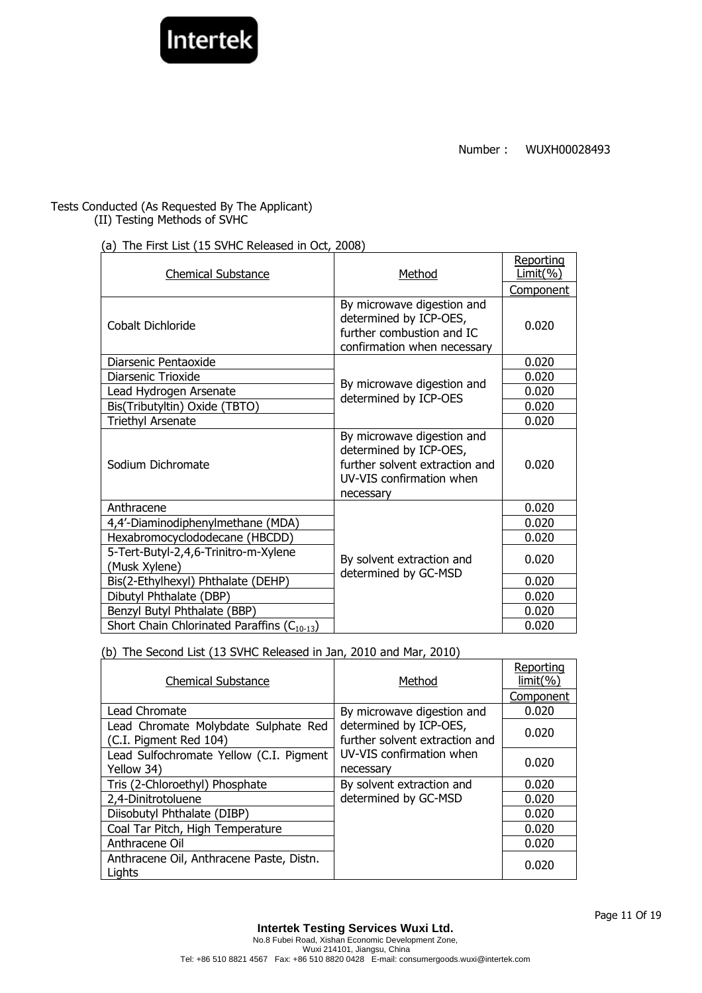

# Tests Conducted (As Requested By The Applicant)

(II) Testing Methods of SVHC

## (a) The First List (15 SVHC Released in Oct, 2008)

| <b>Chemical Substance</b>                             | Method                                                                                                                          | Reporting<br>Limit( %) |
|-------------------------------------------------------|---------------------------------------------------------------------------------------------------------------------------------|------------------------|
|                                                       |                                                                                                                                 | <u>Component</u>       |
| Cobalt Dichloride                                     | By microwave digestion and<br>determined by ICP-OES,<br>further combustion and IC<br>confirmation when necessary                | 0.020                  |
| Diarsenic Pentaoxide                                  |                                                                                                                                 | 0.020                  |
| Diarsenic Trioxide                                    | By microwave digestion and                                                                                                      | 0.020                  |
| Lead Hydrogen Arsenate                                | determined by ICP-OES                                                                                                           | 0.020                  |
| Bis(Tributyltin) Oxide (TBTO)                         |                                                                                                                                 | 0.020                  |
| <b>Triethyl Arsenate</b>                              |                                                                                                                                 | 0.020                  |
| Sodium Dichromate                                     | By microwave digestion and<br>determined by ICP-OES,<br>further solvent extraction and<br>UV-VIS confirmation when<br>necessary | 0.020                  |
| Anthracene                                            |                                                                                                                                 | 0.020                  |
| 4,4'-Diaminodiphenylmethane (MDA)                     |                                                                                                                                 | 0.020                  |
| Hexabromocyclododecane (HBCDD)                        |                                                                                                                                 | 0.020                  |
| 5-Tert-Butyl-2,4,6-Trinitro-m-Xylene<br>(Musk Xylene) | By solvent extraction and<br>determined by GC-MSD                                                                               | 0.020                  |
| Bis(2-Ethylhexyl) Phthalate (DEHP)                    |                                                                                                                                 | 0.020                  |
| Dibutyl Phthalate (DBP)                               |                                                                                                                                 | 0.020                  |
| Benzyl Butyl Phthalate (BBP)                          |                                                                                                                                 | 0.020                  |
| Short Chain Chlorinated Paraffins $(C_{10-13})$       |                                                                                                                                 | 0.020                  |

(b) The Second List (13 SVHC Released in Jan, 2010 and Mar, 2010)

| <b>Chemical Substance</b>                                      | Method                                                   | Reporting<br>$limit(\% )$ |
|----------------------------------------------------------------|----------------------------------------------------------|---------------------------|
|                                                                |                                                          | Component                 |
| Lead Chromate                                                  | By microwave digestion and                               | 0.020                     |
| Lead Chromate Molybdate Sulphate Red<br>(C.I. Pigment Red 104) | determined by ICP-OES,<br>further solvent extraction and | 0.020                     |
| Lead Sulfochromate Yellow (C.I. Pigment<br>Yellow 34)          | UV-VIS confirmation when<br>necessary                    | 0.020                     |
| Tris (2-Chloroethyl) Phosphate                                 | By solvent extraction and                                | 0.020                     |
| 2,4-Dinitrotoluene                                             | determined by GC-MSD                                     | 0.020                     |
| Diisobutyl Phthalate (DIBP)                                    |                                                          | 0.020                     |
| Coal Tar Pitch, High Temperature                               |                                                          | 0.020                     |
| Anthracene Oil                                                 |                                                          | 0.020                     |
| Anthracene Oil, Anthracene Paste, Distn.<br>Lights             |                                                          | 0.020                     |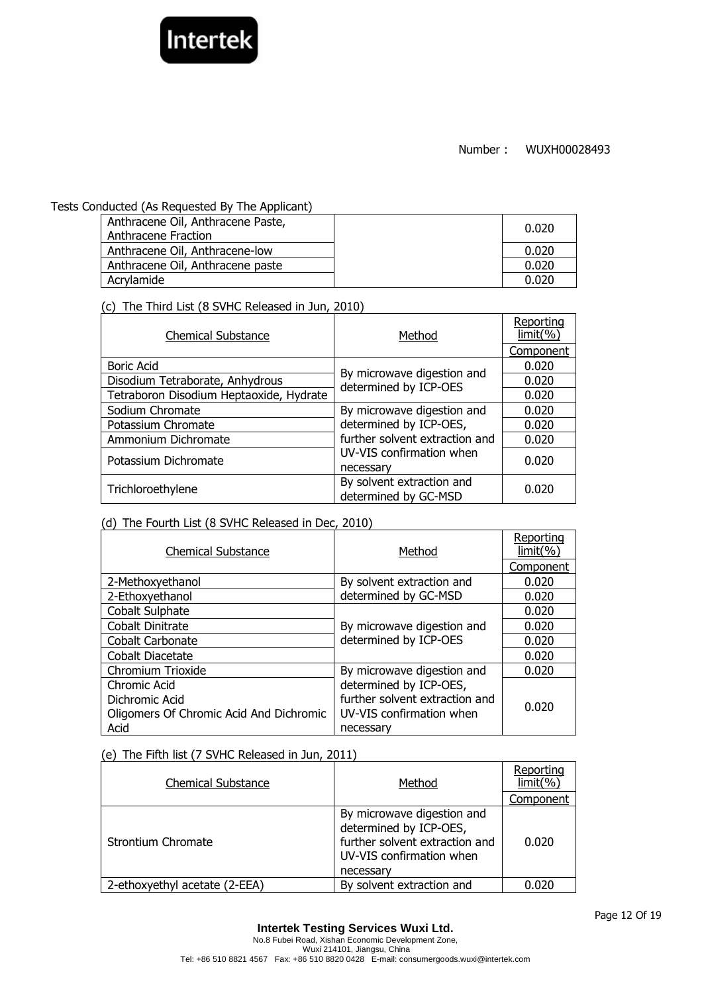

#### Tests Conducted (As Requested By The Applicant)

| Anthracene Oil, Anthracene Paste,<br>Anthracene Fraction | 0.020 |
|----------------------------------------------------------|-------|
| Anthracene Oil, Anthracene-low                           | 0.020 |
| Anthracene Oil, Anthracene paste                         | 0.020 |
| Acrylamide                                               | 0.020 |

(c) The Third List (8 SVHC Released in Jun, 2010)

| <b>Chemical Substance</b>               | Method                                              | Reporting<br>limit( %) |
|-----------------------------------------|-----------------------------------------------------|------------------------|
|                                         |                                                     | Component              |
| <b>Boric Acid</b>                       |                                                     | 0.020                  |
| Disodium Tetraborate, Anhydrous         | By microwave digestion and<br>determined by ICP-OES | 0.020                  |
| Tetraboron Disodium Heptaoxide, Hydrate |                                                     | 0.020                  |
| Sodium Chromate                         | By microwave digestion and                          | 0.020                  |
| Potassium Chromate                      | determined by ICP-OES,                              | 0.020                  |
| Ammonium Dichromate                     | further solvent extraction and                      | 0.020                  |
| Potassium Dichromate                    | UV-VIS confirmation when<br>necessary               | 0.020                  |
| Trichloroethylene                       | By solvent extraction and<br>determined by GC-MSD   | 0.020                  |

### (d) The Fourth List (8 SVHC Released in Dec, 2010)

| <b>Chemical Substance</b>               | Method                         | Reporting<br>limit( %) |
|-----------------------------------------|--------------------------------|------------------------|
|                                         |                                | Component              |
| 2-Methoxyethanol                        | By solvent extraction and      | 0.020                  |
| 2-Ethoxyethanol                         | determined by GC-MSD           | 0.020                  |
| Cobalt Sulphate                         |                                | 0.020                  |
| Cobalt Dinitrate                        | By microwave digestion and     | 0.020                  |
| Cobalt Carbonate                        | determined by ICP-OES          | 0.020                  |
| Cobalt Diacetate                        |                                | 0.020                  |
| Chromium Trioxide                       | By microwave digestion and     | 0.020                  |
| Chromic Acid                            | determined by ICP-OES,         |                        |
| Dichromic Acid                          | further solvent extraction and | 0.020                  |
| Oligomers Of Chromic Acid And Dichromic | UV-VIS confirmation when       |                        |
| Acid                                    | necessary                      |                        |

### (e) The Fifth list (7 SVHC Released in Jun, 2011)

| <b>Chemical Substance</b>     | Method                                                                                                                          | Reporting<br>limit(% |
|-------------------------------|---------------------------------------------------------------------------------------------------------------------------------|----------------------|
|                               |                                                                                                                                 | Component            |
| Strontium Chromate            | By microwave digestion and<br>determined by ICP-OES,<br>further solvent extraction and<br>UV-VIS confirmation when<br>necessary | 0.020                |
| 2-ethoxyethyl acetate (2-EEA) | By solvent extraction and                                                                                                       | 0.020                |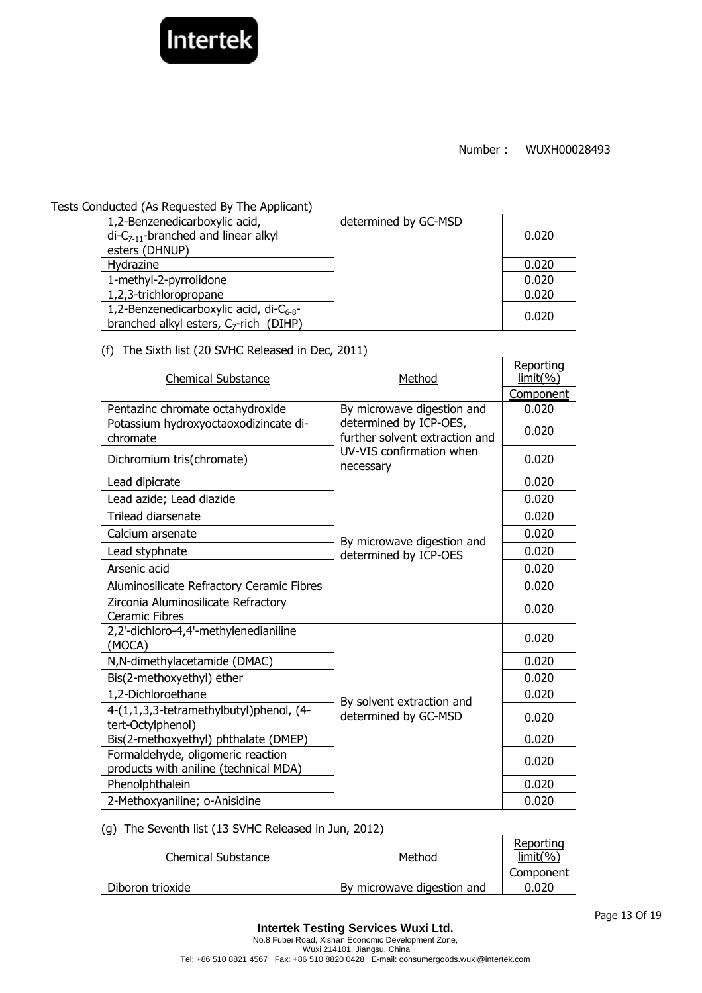

#### Tests Conducted (As Requested By The Applicant)

| 1,2-Benzenedicarboxylic acid,<br>$di-C_{7-11}$ -branched and linear alkyl<br>esters (DHNUP)         | determined by GC-MSD | 0.020 |
|-----------------------------------------------------------------------------------------------------|----------------------|-------|
| Hydrazine                                                                                           |                      | 0.020 |
| 1-methyl-2-pyrrolidone                                                                              |                      | 0.020 |
| 1,2,3-trichloropropane                                                                              |                      | 0.020 |
| 1,2-Benzenedicarboxylic acid, di- $C_{6-8}$ -<br>branched alkyl esters, C <sub>7</sub> -rich (DIHP) |                      | 0.020 |

(f) The Sixth list (20 SVHC Released in Dec, 2011)

| UJ<br>THE SIXULIST (20 SYTIC REJEASED IN DEC, 2011)                        |                                                          |                        |
|----------------------------------------------------------------------------|----------------------------------------------------------|------------------------|
| <b>Chemical Substance</b>                                                  | Method                                                   | Reporting<br>limit( %) |
|                                                                            |                                                          | Component              |
| Pentazinc chromate octahydroxide                                           | By microwave digestion and                               | 0.020                  |
| Potassium hydroxyoctaoxodizincate di-<br>chromate                          | determined by ICP-OES,<br>further solvent extraction and | 0.020                  |
| Dichromium tris(chromate)                                                  | UV-VIS confirmation when<br>necessary                    | 0.020                  |
| Lead dipicrate                                                             |                                                          | 0.020                  |
| Lead azide; Lead diazide                                                   |                                                          | 0.020                  |
| Trilead diarsenate                                                         |                                                          | 0.020                  |
| Calcium arsenate                                                           |                                                          | 0.020                  |
| Lead styphnate                                                             | By microwave digestion and<br>determined by ICP-OES      | 0.020                  |
| Arsenic acid                                                               |                                                          | 0.020                  |
| Aluminosilicate Refractory Ceramic Fibres                                  |                                                          | 0.020                  |
| Zirconia Aluminosilicate Refractory<br><b>Ceramic Fibres</b>               |                                                          | 0.020                  |
| 2,2'-dichloro-4,4'-methylenedianiline<br>(MOCA)                            |                                                          | 0.020                  |
| N,N-dimethylacetamide (DMAC)                                               |                                                          | 0.020                  |
| Bis(2-methoxyethyl) ether                                                  |                                                          | 0.020                  |
| 1,2-Dichloroethane                                                         | By solvent extraction and                                | 0.020                  |
| 4-(1,1,3,3-tetramethylbutyl)phenol, (4-<br>tert-Octylphenol)               | determined by GC-MSD                                     | 0.020                  |
| Bis(2-methoxyethyl) phthalate (DMEP)                                       |                                                          | 0.020                  |
| Formaldehyde, oligomeric reaction<br>products with aniline (technical MDA) |                                                          | 0.020                  |
| Phenolphthalein                                                            |                                                          | 0.020                  |
| 2-Methoxyaniline; o-Anisidine                                              |                                                          | 0.020                  |

#### (g) The Seventh list (13 SVHC Released in Jun, 2012)

| Chemical Substance | Method                     | Reporting<br>$limit(\% )$ |
|--------------------|----------------------------|---------------------------|
|                    |                            | Component                 |
| Diboron trioxide   | By microwave digestion and | 0.020                     |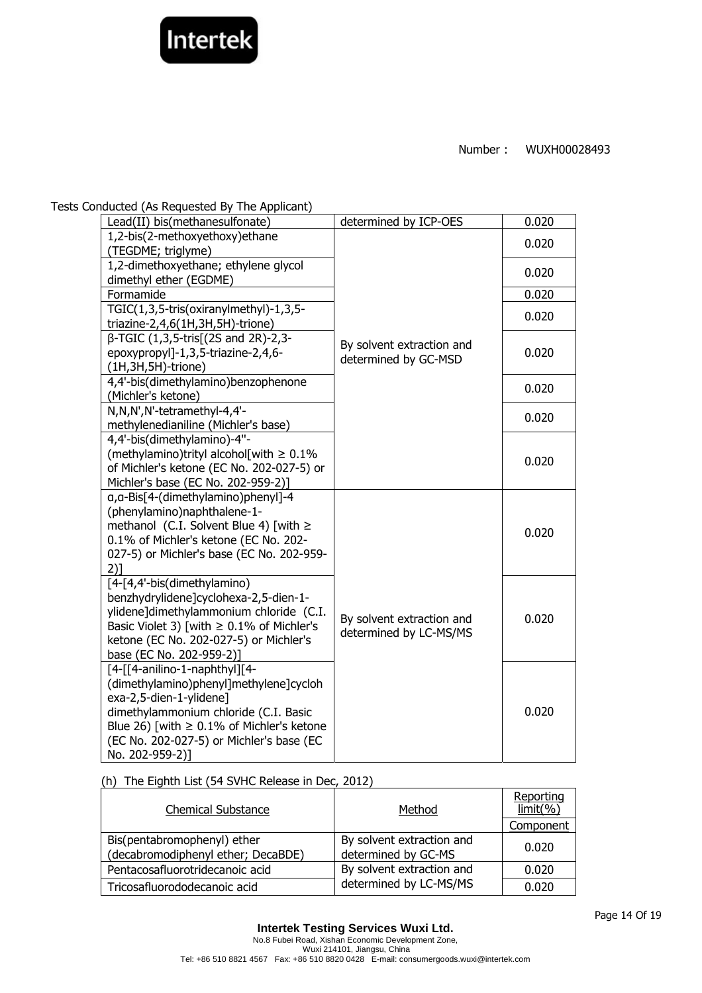

Tests Conducted (As Requested By The Applicant)

| Lead(II) bis(methanesulfonate)                                     | determined by ICP-OES     | 0.020 |
|--------------------------------------------------------------------|---------------------------|-------|
| 1,2-bis(2-methoxyethoxy)ethane                                     |                           | 0.020 |
| (TEGDME; triglyme)                                                 |                           |       |
| 1,2-dimethoxyethane; ethylene glycol                               |                           | 0.020 |
| dimethyl ether (EGDME)                                             |                           |       |
| Formamide                                                          |                           | 0.020 |
| TGIC(1,3,5-tris(oxiranylmethyl)-1,3,5-                             |                           | 0.020 |
| triazine-2,4,6(1H,3H,5H)-trione)                                   |                           |       |
| β-TGIC (1,3,5-tris[(2S and 2R)-2,3-                                | By solvent extraction and |       |
| epoxypropyl]-1,3,5-triazine-2,4,6-                                 | determined by GC-MSD      | 0.020 |
| $(1H, 3H, 5H)$ -trione)                                            |                           |       |
| 4,4'-bis(dimethylamino)benzophenone                                |                           | 0.020 |
| (Michler's ketone)                                                 |                           |       |
| N,N,N',N'-tetramethyl-4,4'-                                        |                           | 0.020 |
| methylenedianiline (Michler's base)                                |                           |       |
| 4,4'-bis(dimethylamino)-4"-                                        |                           |       |
| (methylamino)trityl alcohol[with $\geq 0.1\%$                      |                           | 0.020 |
| of Michler's ketone (EC No. 202-027-5) or                          |                           |       |
| Michler's base (EC No. 202-959-2)]                                 |                           |       |
| q, a-Bis[4-(dimethylamino)phenyl]-4<br>(phenylamino)naphthalene-1- |                           |       |
| methanol (C.I. Solvent Blue 4) [with $\ge$                         |                           |       |
| 0.1% of Michler's ketone (EC No. 202-                              |                           | 0.020 |
| 027-5) or Michler's base (EC No. 202-959-                          |                           |       |
| 2)1                                                                |                           |       |
| [4-[4,4'-bis(dimethylamino)                                        |                           |       |
| benzhydrylidene]cyclohexa-2,5-dien-1-                              |                           |       |
| ylidene]dimethylammonium chloride (C.I.                            |                           |       |
| Basic Violet 3) [with $\geq 0.1\%$ of Michler's                    | By solvent extraction and | 0.020 |
| ketone (EC No. 202-027-5) or Michler's                             | determined by LC-MS/MS    |       |
| base (EC No. 202-959-2)]                                           |                           |       |
| [4-[[4-anilino-1-naphthyl][4-                                      |                           |       |
| (dimethylamino)phenyl]methylene]cycloh                             |                           |       |
| exa-2,5-dien-1-ylidene]                                            |                           |       |
| dimethylammonium chloride (C.I. Basic                              |                           | 0.020 |
| Blue 26) [with $\geq 0.1\%$ of Michler's ketone                    |                           |       |
| (EC No. 202-027-5) or Michler's base (EC                           |                           |       |
| No. 202-959-2)]                                                    |                           |       |

(h) The Eighth List (54 SVHC Release in Dec, 2012)

| <b>Chemical Substance</b>                                         | Method                                           | Reporting<br>$limit(\% )$ |
|-------------------------------------------------------------------|--------------------------------------------------|---------------------------|
|                                                                   |                                                  | Component                 |
| Bis(pentabromophenyl) ether<br>(decabromodiphenyl ether; DecaBDE) | By solvent extraction and<br>determined by GC-MS | 0.020                     |
| Pentacosafluorotridecanoic acid                                   | By solvent extraction and                        | 0.020                     |
| Tricosafluorododecanoic acid                                      | determined by LC-MS/MS                           | 0.020                     |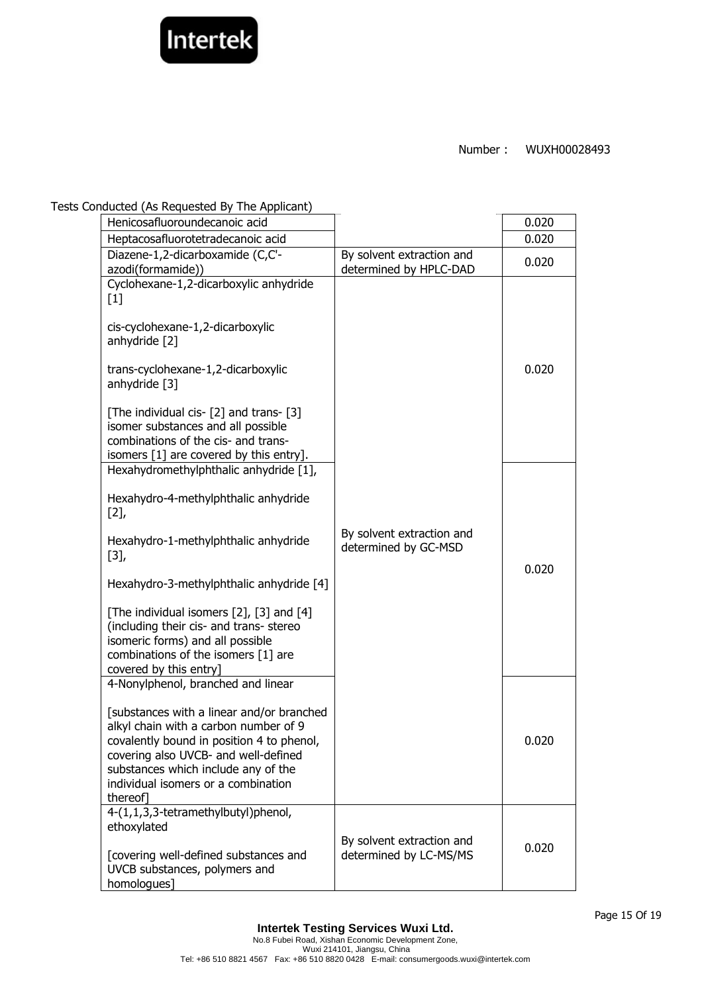

#### Tests Conducted (As Requested By The Applicant)

| Henicosafluoroundecanoic acid                                                                                                                                                                                                                                                                                                                                                   |                                                     | 0.020 |
|---------------------------------------------------------------------------------------------------------------------------------------------------------------------------------------------------------------------------------------------------------------------------------------------------------------------------------------------------------------------------------|-----------------------------------------------------|-------|
| Heptacosafluorotetradecanoic acid                                                                                                                                                                                                                                                                                                                                               |                                                     | 0.020 |
| Diazene-1,2-dicarboxamide (C,C'-<br>azodi(formamide))                                                                                                                                                                                                                                                                                                                           | By solvent extraction and<br>determined by HPLC-DAD | 0.020 |
| Cyclohexane-1,2-dicarboxylic anhydride<br>$[1]$<br>cis-cyclohexane-1,2-dicarboxylic<br>anhydride [2]<br>trans-cyclohexane-1,2-dicarboxylic<br>anhydride [3]<br>[The individual cis- [2] and trans- [3]<br>isomer substances and all possible<br>combinations of the cis- and trans-<br>isomers [1] are covered by this entry].                                                  |                                                     | 0.020 |
| Hexahydromethylphthalic anhydride [1],<br>Hexahydro-4-methylphthalic anhydride<br>[2]<br>Hexahydro-1-methylphthalic anhydride<br>$[3],$<br>Hexahydro-3-methylphthalic anhydride [4]<br>[The individual isomers [2], [3] and [4]<br>(including their cis- and trans- stereo<br>isomeric forms) and all possible<br>combinations of the isomers [1] are<br>covered by this entry] | By solvent extraction and<br>determined by GC-MSD   | 0.020 |
| 4-Nonylphenol, branched and linear<br>[substances with a linear and/or branched<br>alkyl chain with a carbon number of 9<br>covalently bound in position 4 to phenol,<br>covering also UVCB- and well-defined<br>substances which include any of the<br>individual isomers or a combination<br>thereofl                                                                         |                                                     | 0.020 |
| 4-(1,1,3,3-tetramethylbutyl)phenol,<br>ethoxylated<br>[covering well-defined substances and<br>UVCB substances, polymers and<br>homologues]                                                                                                                                                                                                                                     | By solvent extraction and<br>determined by LC-MS/MS | 0.020 |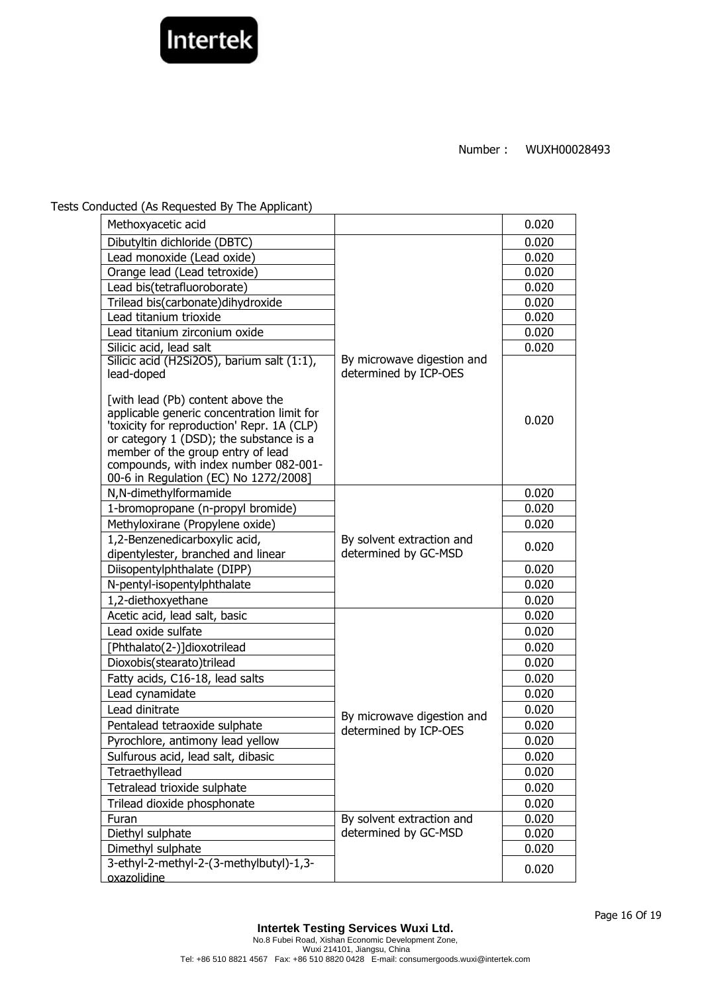

Tests Conducted (As Requested By The Applicant)

| Methoxyacetic acid                                                                                                                                                                                                                                                                              |                                                     | 0.020 |
|-------------------------------------------------------------------------------------------------------------------------------------------------------------------------------------------------------------------------------------------------------------------------------------------------|-----------------------------------------------------|-------|
| Dibutyltin dichloride (DBTC)                                                                                                                                                                                                                                                                    |                                                     | 0.020 |
| Lead monoxide (Lead oxide)                                                                                                                                                                                                                                                                      |                                                     | 0.020 |
| Orange lead (Lead tetroxide)                                                                                                                                                                                                                                                                    |                                                     | 0.020 |
| Lead bis(tetrafluoroborate)                                                                                                                                                                                                                                                                     |                                                     | 0.020 |
| Trilead bis(carbonate)dihydroxide                                                                                                                                                                                                                                                               |                                                     | 0.020 |
| Lead titanium trioxide                                                                                                                                                                                                                                                                          |                                                     | 0.020 |
| Lead titanium zirconium oxide                                                                                                                                                                                                                                                                   |                                                     | 0.020 |
| Silicic acid, lead salt                                                                                                                                                                                                                                                                         |                                                     | 0.020 |
| Silicic acid (H2Si2O5), barium salt (1:1),<br>lead-doped                                                                                                                                                                                                                                        | By microwave digestion and<br>determined by ICP-OES |       |
| [with lead (Pb) content above the<br>applicable generic concentration limit for<br>'toxicity for reproduction' Repr. 1A (CLP)<br>or category 1 (DSD); the substance is a<br>member of the group entry of lead<br>compounds, with index number 082-001-<br>00-6 in Regulation (EC) No 1272/2008] |                                                     | 0.020 |
| N,N-dimethylformamide                                                                                                                                                                                                                                                                           |                                                     | 0.020 |
| 1-bromopropane (n-propyl bromide)                                                                                                                                                                                                                                                               |                                                     | 0.020 |
| Methyloxirane (Propylene oxide)                                                                                                                                                                                                                                                                 |                                                     | 0.020 |
| 1,2-Benzenedicarboxylic acid,<br>dipentylester, branched and linear                                                                                                                                                                                                                             | By solvent extraction and<br>determined by GC-MSD   | 0.020 |
| Diisopentylphthalate (DIPP)                                                                                                                                                                                                                                                                     |                                                     | 0.020 |
| N-pentyl-isopentylphthalate                                                                                                                                                                                                                                                                     |                                                     | 0.020 |
| 1,2-diethoxyethane                                                                                                                                                                                                                                                                              |                                                     | 0.020 |
| Acetic acid, lead salt, basic                                                                                                                                                                                                                                                                   |                                                     | 0.020 |
| Lead oxide sulfate                                                                                                                                                                                                                                                                              |                                                     | 0.020 |
| [Phthalato(2-)]dioxotrilead                                                                                                                                                                                                                                                                     |                                                     | 0.020 |
| Dioxobis(stearato)trilead                                                                                                                                                                                                                                                                       |                                                     | 0.020 |
| Fatty acids, C16-18, lead salts                                                                                                                                                                                                                                                                 |                                                     | 0.020 |
| Lead cynamidate                                                                                                                                                                                                                                                                                 |                                                     | 0.020 |
| Lead dinitrate                                                                                                                                                                                                                                                                                  | By microwave digestion and                          | 0.020 |
| Pentalead tetraoxide sulphate                                                                                                                                                                                                                                                                   | determined by ICP-OES                               | 0.020 |
| Pyrochlore, antimony lead yellow                                                                                                                                                                                                                                                                |                                                     | 0.020 |
| Sulfurous acid, lead salt, dibasic                                                                                                                                                                                                                                                              |                                                     | 0.020 |
| Tetraethyllead                                                                                                                                                                                                                                                                                  |                                                     | 0.020 |
| Tetralead trioxide sulphate                                                                                                                                                                                                                                                                     |                                                     | 0.020 |
| Trilead dioxide phosphonate                                                                                                                                                                                                                                                                     |                                                     | 0.020 |
| Furan                                                                                                                                                                                                                                                                                           | By solvent extraction and                           | 0.020 |
| Diethyl sulphate                                                                                                                                                                                                                                                                                | determined by GC-MSD                                | 0.020 |
| Dimethyl sulphate                                                                                                                                                                                                                                                                               |                                                     | 0.020 |
| 3-ethyl-2-methyl-2-(3-methylbutyl)-1,3-                                                                                                                                                                                                                                                         |                                                     | 0.020 |
| oxazolidine                                                                                                                                                                                                                                                                                     |                                                     |       |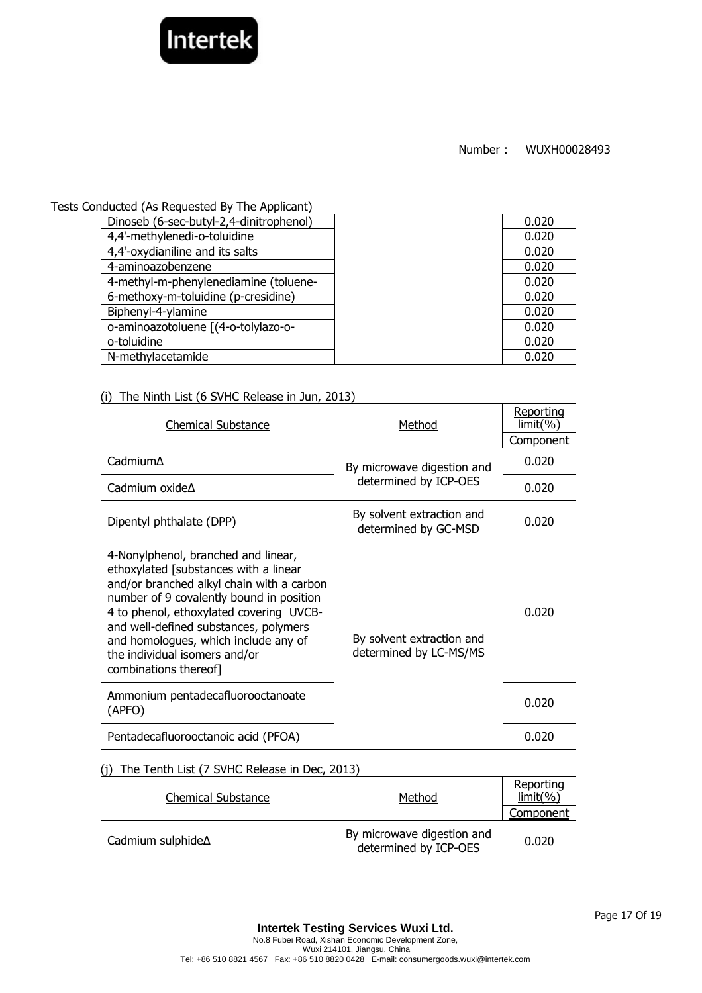

Tests Conducted (As Requested By The Applicant)

| .                                       |       |
|-----------------------------------------|-------|
| Dinoseb (6-sec-butyl-2,4-dinitrophenol) | 0.020 |
| 4,4'-methylenedi-o-toluidine            | 0.020 |
| 4,4'-oxydianiline and its salts         | 0.020 |
| 4-aminoazobenzene                       | 0.020 |
| 4-methyl-m-phenylenediamine (toluene-   | 0.020 |
| 6-methoxy-m-toluidine (p-cresidine)     | 0.020 |
| Biphenyl-4-ylamine                      | 0.020 |
| o-aminoazotoluene [(4-o-tolylazo-o-     | 0.020 |
| o-toluidine                             | 0.020 |
| N-methylacetamide                       | 0.020 |
|                                         |       |

### (i) The Ninth List (6 SVHC Release in Jun, 2013)

| <b>Chemical Substance</b>                                                                                                                                                                                                                                                                                                                                   | Method                                              | Reporting<br><u>limit(%)</u> |
|-------------------------------------------------------------------------------------------------------------------------------------------------------------------------------------------------------------------------------------------------------------------------------------------------------------------------------------------------------------|-----------------------------------------------------|------------------------------|
|                                                                                                                                                                                                                                                                                                                                                             |                                                     | <b>Component</b>             |
| Cadmium∆                                                                                                                                                                                                                                                                                                                                                    | By microwave digestion and                          | 0.020                        |
| Cadmium oxide $\Delta$                                                                                                                                                                                                                                                                                                                                      | determined by ICP-OES                               | 0.020                        |
| Dipentyl phthalate (DPP)                                                                                                                                                                                                                                                                                                                                    | By solvent extraction and<br>determined by GC-MSD   | 0.020                        |
| 4-Nonylphenol, branched and linear,<br>ethoxylated [substances with a linear<br>and/or branched alkyl chain with a carbon<br>number of 9 covalently bound in position<br>4 to phenol, ethoxylated covering UVCB-<br>and well-defined substances, polymers<br>and homologues, which include any of<br>the individual isomers and/or<br>combinations thereof] | By solvent extraction and<br>determined by LC-MS/MS | 0.020                        |
| Ammonium pentadecafluorooctanoate<br>(APFO)                                                                                                                                                                                                                                                                                                                 |                                                     | 0.020                        |
| Pentadecafluorooctanoic acid (PFOA)                                                                                                                                                                                                                                                                                                                         |                                                     | 0.020                        |

### (j) The Tenth List (7 SVHC Release in Dec, 2013)

| <b>Chemical Substance</b> | Method                                              | Reporting<br>limit(%) |
|---------------------------|-----------------------------------------------------|-----------------------|
|                           |                                                     | Component             |
| Cadmium sulphide∆         | By microwave digestion and<br>determined by ICP-OES | 0.020                 |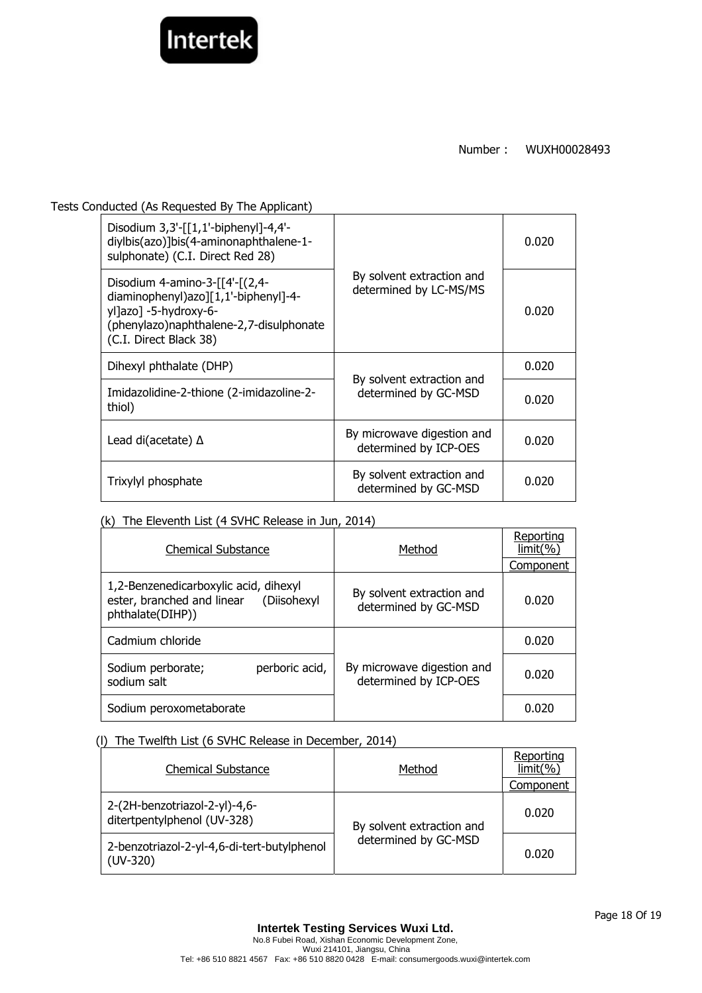

Tests Conducted (As Requested By The Applicant)

| Disodium $3,3'$ -[[1,1'-biphenyl]-4,4'-<br>diylbis(azo)]bis(4-aminonaphthalene-1-<br>sulphonate) (C.I. Direct Red 28)                                                  | By solvent extraction and<br>determined by LC-MS/MS | 0.020 |
|------------------------------------------------------------------------------------------------------------------------------------------------------------------------|-----------------------------------------------------|-------|
| Disodium 4-amino-3- $[4-(2,4-$<br>diaminophenyl)azo][1,1'-biphenyl]-4-<br>yl]azo] -5-hydroxy-6-<br>(phenylazo) naphthalene-2, 7-disulphonate<br>(C.I. Direct Black 38) |                                                     | 0.020 |
| Dihexyl phthalate (DHP)                                                                                                                                                | By solvent extraction and<br>determined by GC-MSD   | 0.020 |
| Imidazolidine-2-thione (2-imidazoline-2-<br>thiol)                                                                                                                     |                                                     | 0.020 |
| Lead di(acetate) $\Delta$                                                                                                                                              | By microwave digestion and<br>determined by ICP-OES | 0.020 |
| Trixylyl phosphate                                                                                                                                                     | By solvent extraction and<br>determined by GC-MSD   | 0.020 |

### (k) The Eleventh List (4 SVHC Release in Jun, 2014)

| <b>Chemical Substance</b>                                                                           | Method                                              | Reporting<br>$limit(\% )$ |
|-----------------------------------------------------------------------------------------------------|-----------------------------------------------------|---------------------------|
|                                                                                                     |                                                     | Component                 |
| 1,2-Benzenedicarboxylic acid, dihexyl<br>ester, branched and linear (Diisohexyl<br>phthalate(DIHP)) | By solvent extraction and<br>determined by GC-MSD   | 0.020                     |
| Cadmium chloride                                                                                    |                                                     | 0.020                     |
| perboric acid,<br>Sodium perborate;<br>sodium salt                                                  | By microwave digestion and<br>determined by ICP-OES | 0.020                     |
| Sodium peroxometaborate                                                                             |                                                     | 0.020                     |

### (l) The Twelfth List (6 SVHC Release in December, 2014)

| <b>Chemical Substance</b>                                    | Method                                            | Reporting<br>limit(%) |
|--------------------------------------------------------------|---------------------------------------------------|-----------------------|
|                                                              |                                                   | Component             |
| 2-(2H-benzotriazol-2-yl)-4,6-<br>ditertpentylphenol (UV-328) | By solvent extraction and<br>determined by GC-MSD | 0.020                 |
| 2-benzotriazol-2-yl-4,6-di-tert-butylphenol<br>$(UV-320)$    |                                                   | 0.020                 |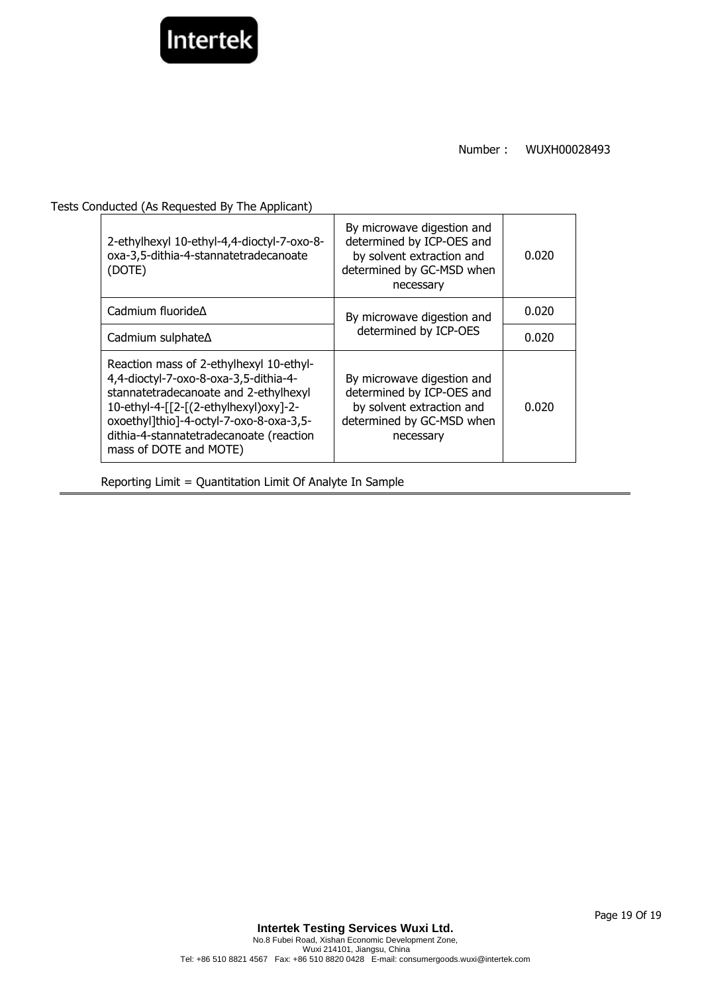

Tests Conducted (As Requested By The Applicant)

| 2-ethylhexyl 10-ethyl-4,4-dioctyl-7-oxo-8-<br>oxa-3,5-dithia-4-stannatetradecanoate<br>(DOTE)                                                                                                                                                                                      | By microwave digestion and<br>determined by ICP-OES and<br>by solvent extraction and<br>determined by GC-MSD when<br>necessary | 0.020 |
|------------------------------------------------------------------------------------------------------------------------------------------------------------------------------------------------------------------------------------------------------------------------------------|--------------------------------------------------------------------------------------------------------------------------------|-------|
| Cadmium fluoride $\Delta$                                                                                                                                                                                                                                                          | By microwave digestion and<br>determined by ICP-OES                                                                            | 0.020 |
| Cadmium sulphate∆                                                                                                                                                                                                                                                                  |                                                                                                                                | 0.020 |
| Reaction mass of 2-ethylhexyl 10-ethyl-<br>4,4-dioctyl-7-oxo-8-oxa-3,5-dithia-4-<br>stannatetradecanoate and 2-ethylhexyl<br>10-ethyl-4-[[2-[(2-ethylhexyl)oxy]-2-<br>oxoethyl]thio]-4-octyl-7-oxo-8-oxa-3,5-<br>dithia-4-stannatetradecanoate (reaction<br>mass of DOTE and MOTE) | By microwave digestion and<br>determined by ICP-OES and<br>by solvent extraction and<br>determined by GC-MSD when<br>necessary | 0.020 |

Reporting Limit = Quantitation Limit Of Analyte In Sample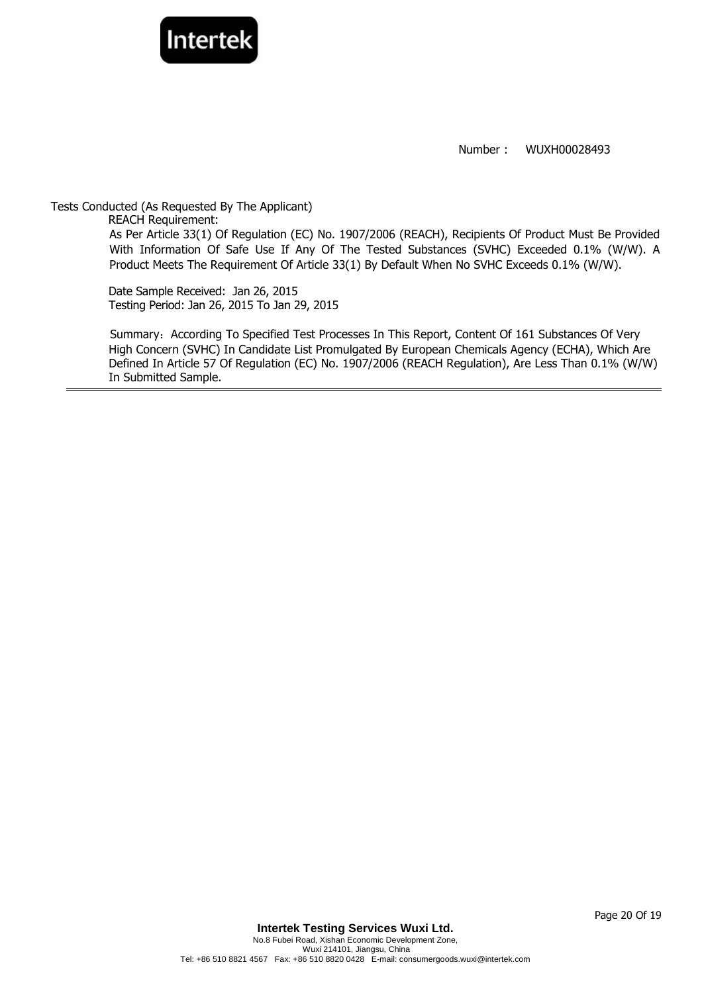

Tests Conducted (As Requested By The Applicant) REACH Requirement: As Per Article 33(1) Of Regulation (EC) No. 1907/2006 (REACH), Recipients Of Product Must Be Provided With Information Of Safe Use If Any Of The Tested Substances (SVHC) Exceeded 0.1% (W/W). A Product Meets The Requirement Of Article 33(1) By Default When No SVHC Exceeds 0.1% (W/W).

Date Sample Received: Jan 26, 2015 Testing Period: Jan 26, 2015 To Jan 29, 2015

Summary: According To Specified Test Processes In This Report, Content Of 161 Substances Of Very High Concern (SVHC) In Candidate List Promulgated By European Chemicals Agency (ECHA), Which Are Defined In Article 57 Of Regulation (EC) No. 1907/2006 (REACH Regulation), Are Less Than 0.1% (W/W) In Submitted Sample.